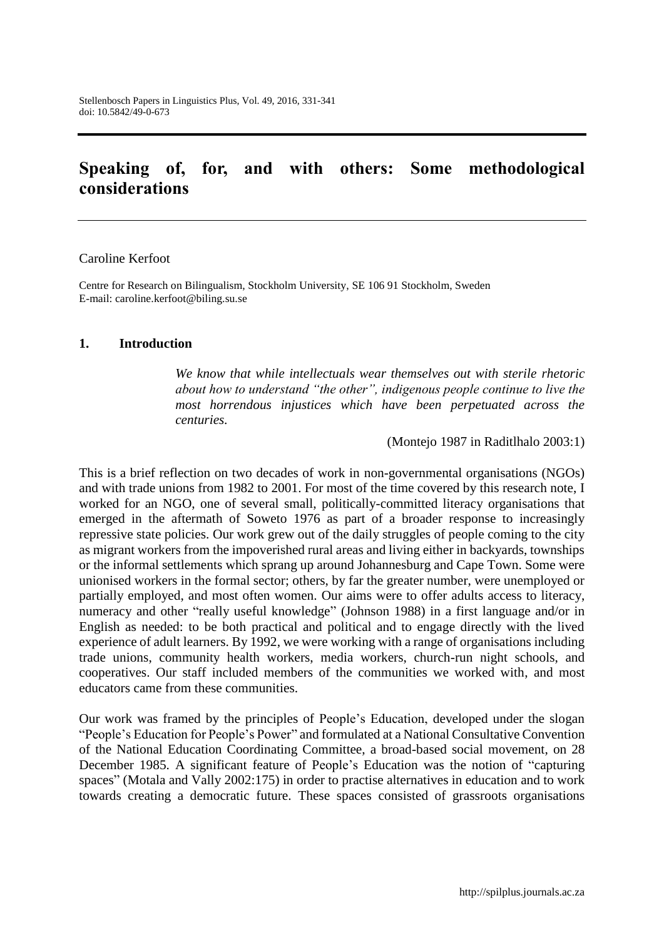# **Speaking of, for, and with others: Some methodological considerations**

#### Caroline Kerfoot

Centre for Research on Bilingualism, Stockholm University, SE 106 91 Stockholm, Sweden E-mail: [caroline.kerfoot@biling.su.se](mailto:caroline.kerfoot@biling.su.se)

### **1. Introduction**

*We know that while intellectuals wear themselves out with sterile rhetoric about how to understand "the other", indigenous people continue to live the most horrendous injustices which have been perpetuated across the centuries.*

(Montejo 1987 in Raditlhalo 2003:1)

This is a brief reflection on two decades of work in non-governmental organisations (NGOs) and with trade unions from 1982 to 2001. For most of the time covered by this research note, I worked for an NGO, one of several small, politically-committed literacy organisations that emerged in the aftermath of Soweto 1976 as part of a broader response to increasingly repressive state policies. Our work grew out of the daily struggles of people coming to the city as migrant workers from the impoverished rural areas and living either in backyards, townships or the informal settlements which sprang up around Johannesburg and Cape Town. Some were unionised workers in the formal sector; others, by far the greater number, were unemployed or partially employed, and most often women. Our aims were to offer adults access to literacy, numeracy and other "really useful knowledge" (Johnson 1988) in a first language and/or in English as needed: to be both practical and political and to engage directly with the lived experience of adult learners. By 1992, we were working with a range of organisations including trade unions, community health workers, media workers, church-run night schools, and cooperatives. Our staff included members of the communities we worked with, and most educators came from these communities.

Our work was framed by the principles of People's Education, developed under the slogan "People's Education for People's Power" and formulated at a National Consultative Convention of the National Education Coordinating Committee, a broad-based social movement, on 28 December 1985. A significant feature of People's Education was the notion of "capturing spaces" (Motala and Vally 2002:175) in order to practise alternatives in education and to work towards creating a democratic future. These spaces consisted of grassroots organisations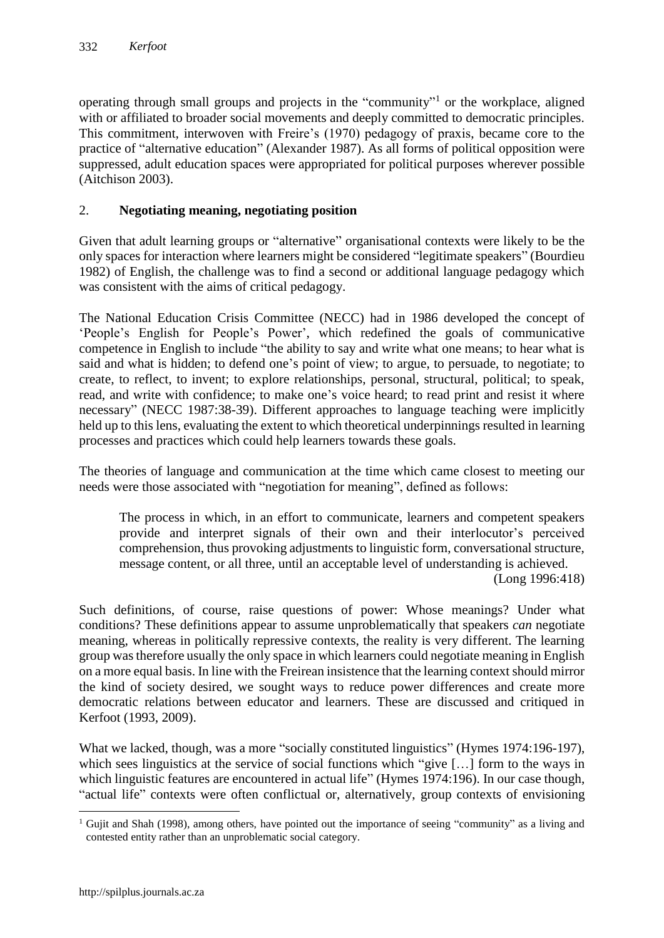operating through small groups and projects in the "community"<sup>1</sup> or the workplace, aligned with or affiliated to broader social movements and deeply committed to democratic principles. This commitment, interwoven with Freire's (1970) pedagogy of praxis, became core to the practice of "alternative education" (Alexander 1987). As all forms of political opposition were suppressed, adult education spaces were appropriated for political purposes wherever possible (Aitchison 2003).

# 2. **Negotiating meaning, negotiating position**

Given that adult learning groups or "alternative" organisational contexts were likely to be the only spaces for interaction where learners might be considered "legitimate speakers" (Bourdieu 1982) of English, the challenge was to find a second or additional language pedagogy which was consistent with the aims of critical pedagogy.

The National Education Crisis Committee (NECC) had in 1986 developed the concept of 'People's English for People's Power', which redefined the goals of communicative competence in English to include "the ability to say and write what one means; to hear what is said and what is hidden; to defend one's point of view; to argue, to persuade, to negotiate; to create, to reflect, to invent; to explore relationships, personal, structural, political; to speak, read, and write with confidence; to make one's voice heard; to read print and resist it where necessary" (NECC 1987:38-39). Different approaches to language teaching were implicitly held up to this lens, evaluating the extent to which theoretical underpinnings resulted in learning processes and practices which could help learners towards these goals.

The theories of language and communication at the time which came closest to meeting our needs were those associated with "negotiation for meaning", defined as follows:

The process in which, in an effort to communicate, learners and competent speakers provide and interpret signals of their own and their interlocutor's perceived comprehension, thus provoking adjustments to linguistic form, conversational structure, message content, or all three, until an acceptable level of understanding is achieved.

(Long 1996:418)

Such definitions, of course, raise questions of power: Whose meanings? Under what conditions? These definitions appear to assume unproblematically that speakers *can* negotiate meaning, whereas in politically repressive contexts, the reality is very different. The learning group was therefore usually the only space in which learners could negotiate meaning in English on a more equal basis. In line with the Freirean insistence that the learning context should mirror the kind of society desired, we sought ways to reduce power differences and create more democratic relations between educator and learners. These are discussed and critiqued in Kerfoot (1993, 2009).

What we lacked, though, was a more "socially constituted linguistics" (Hymes 1974:196-197), which sees linguistics at the service of social functions which "give [...] form to the ways in which linguistic features are encountered in actual life" (Hymes 1974:196). In our case though, "actual life" contexts were often conflictual or, alternatively, group contexts of envisioning

 $\overline{a}$ 

<sup>&</sup>lt;sup>1</sup> Gujit and Shah (1998), among others, have pointed out the importance of seeing "community" as a living and contested entity rather than an unproblematic social category.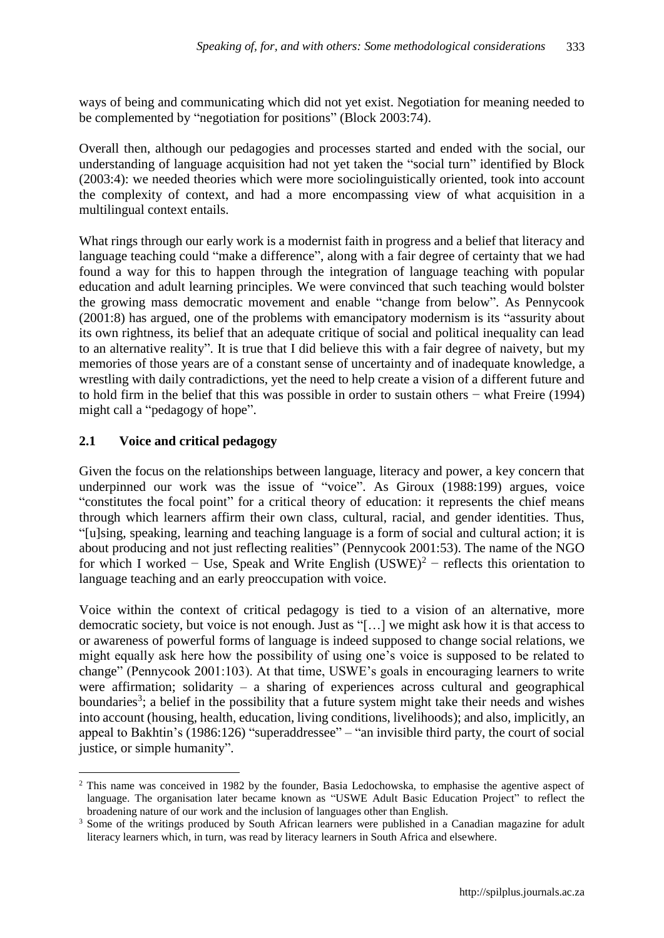ways of being and communicating which did not yet exist. Negotiation for meaning needed to be complemented by "negotiation for positions" (Block 2003:74).

Overall then, although our pedagogies and processes started and ended with the social, our understanding of language acquisition had not yet taken the "social turn" identified by Block (2003:4): we needed theories which were more sociolinguistically oriented, took into account the complexity of context, and had a more encompassing view of what acquisition in a multilingual context entails.

What rings through our early work is a modernist faith in progress and a belief that literacy and language teaching could "make a difference", along with a fair degree of certainty that we had found a way for this to happen through the integration of language teaching with popular education and adult learning principles. We were convinced that such teaching would bolster the growing mass democratic movement and enable "change from below". As Pennycook (2001:8) has argued, one of the problems with emancipatory modernism is its "assurity about its own rightness, its belief that an adequate critique of social and political inequality can lead to an alternative reality". It is true that I did believe this with a fair degree of naivety, but my memories of those years are of a constant sense of uncertainty and of inadequate knowledge, a wrestling with daily contradictions, yet the need to help create a vision of a different future and to hold firm in the belief that this was possible in order to sustain others − what Freire (1994) might call a "pedagogy of hope".

# **2.1 Voice and critical pedagogy**

 $\overline{a}$ 

Given the focus on the relationships between language, literacy and power, a key concern that underpinned our work was the issue of "voice". As Giroux (1988:199) argues, voice "constitutes the focal point" for a critical theory of education: it represents the chief means through which learners affirm their own class, cultural, racial, and gender identities. Thus, "[u]sing, speaking, learning and teaching language is a form of social and cultural action; it is about producing and not just reflecting realities" (Pennycook 2001:53). The name of the NGO for which I worked – Use, Speak and Write English  $(USWE)^2$  – reflects this orientation to language teaching and an early preoccupation with voice.

Voice within the context of critical pedagogy is tied to a vision of an alternative, more democratic society, but voice is not enough. Just as "[…] we might ask how it is that access to or awareness of powerful forms of language is indeed supposed to change social relations, we might equally ask here how the possibility of using one's voice is supposed to be related to change" (Pennycook 2001:103). At that time, USWE's goals in encouraging learners to write were affirmation; solidarity – a sharing of experiences across cultural and geographical boundaries<sup>3</sup>; a belief in the possibility that a future system might take their needs and wishes into account (housing, health, education, living conditions, livelihoods); and also, implicitly, an appeal to Bakhtin's (1986:126) "superaddressee" – "an invisible third party, the court of social justice, or simple humanity".

<sup>&</sup>lt;sup>2</sup> This name was conceived in 1982 by the founder, Basia Ledochowska, to emphasise the agentive aspect of language. The organisation later became known as "USWE Adult Basic Education Project" to reflect the broadening nature of our work and the inclusion of languages other than English.

<sup>&</sup>lt;sup>3</sup> Some of the writings produced by South African learners were published in a Canadian magazine for adult literacy learners which, in turn, was read by literacy learners in South Africa and elsewhere.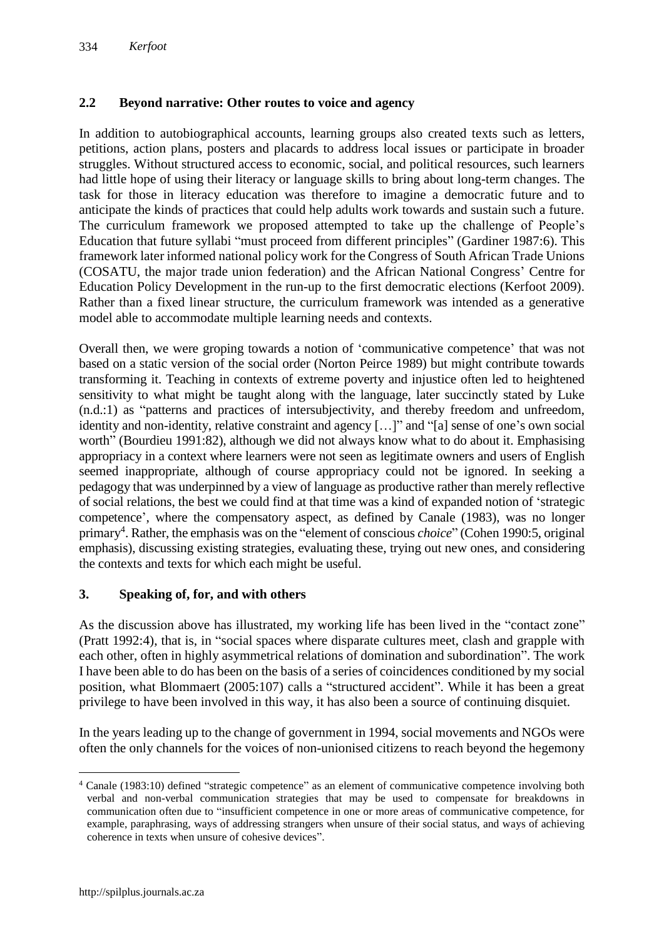# **2.2 Beyond narrative: Other routes to voice and agency**

In addition to autobiographical accounts, learning groups also created texts such as letters, petitions, action plans, posters and placards to address local issues or participate in broader struggles. Without structured access to economic, social, and political resources, such learners had little hope of using their literacy or language skills to bring about long-term changes. The task for those in literacy education was therefore to imagine a democratic future and to anticipate the kinds of practices that could help adults work towards and sustain such a future. The curriculum framework we proposed attempted to take up the challenge of People's Education that future syllabi "must proceed from different principles" (Gardiner 1987:6). This framework later informed national policy work for the Congress of South African Trade Unions (COSATU, the major trade union federation) and the African National Congress' Centre for Education Policy Development in the run-up to the first democratic elections (Kerfoot 2009). Rather than a fixed linear structure, the curriculum framework was intended as a generative model able to accommodate multiple learning needs and contexts.

Overall then, we were groping towards a notion of 'communicative competence' that was not based on a static version of the social order (Norton Peirce 1989) but might contribute towards transforming it. Teaching in contexts of extreme poverty and injustice often led to heightened sensitivity to what might be taught along with the language, later succinctly stated by Luke (n.d.:1) as "patterns and practices of intersubjectivity, and thereby freedom and unfreedom, identity and non-identity, relative constraint and agency […]" and "[a] sense of one's own social worth" (Bourdieu 1991:82), although we did not always know what to do about it. Emphasising appropriacy in a context where learners were not seen as legitimate owners and users of English seemed inappropriate, although of course appropriacy could not be ignored. In seeking a pedagogy that was underpinned by a view of language as productive rather than merely reflective of social relations, the best we could find at that time was a kind of expanded notion of 'strategic competence', where the compensatory aspect, as defined by Canale (1983), was no longer primary<sup>4</sup>. Rather, the emphasis was on the "element of conscious *choice*" (Cohen 1990:5, original emphasis), discussing existing strategies, evaluating these, trying out new ones, and considering the contexts and texts for which each might be useful.

# **3. Speaking of, for, and with others**

As the discussion above has illustrated, my working life has been lived in the "contact zone" (Pratt 1992:4), that is, in "social spaces where disparate cultures meet, clash and grapple with each other, often in highly asymmetrical relations of domination and subordination". The work I have been able to do has been on the basis of a series of coincidences conditioned by my social position, what Blommaert (2005:107) calls a "structured accident". While it has been a great privilege to have been involved in this way, it has also been a source of continuing disquiet.

In the years leading up to the change of government in 1994, social movements and NGOs were often the only channels for the voices of non-unionised citizens to reach beyond the hegemony

 $\overline{a}$ <sup>4</sup> Canale (1983:10) defined "strategic competence" as an element of communicative competence involving both verbal and non-verbal communication strategies that may be used to compensate for breakdowns in communication often due to "insufficient competence in one or more areas of communicative competence, for example, paraphrasing, ways of addressing strangers when unsure of their social status, and ways of achieving coherence in texts when unsure of cohesive devices".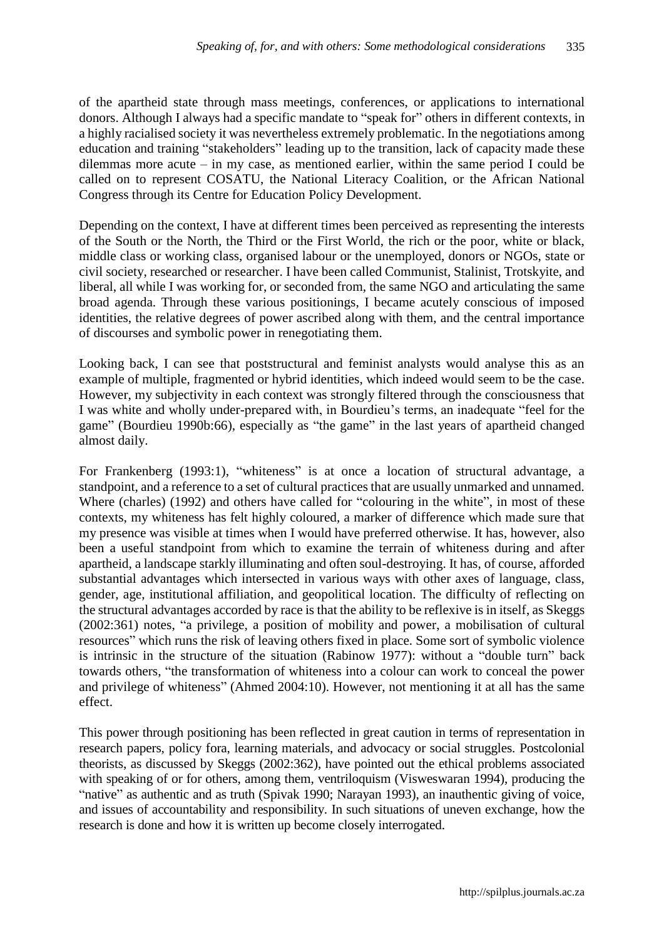of the apartheid state through mass meetings, conferences, or applications to international donors. Although I always had a specific mandate to "speak for" others in different contexts, in a highly racialised society it was nevertheless extremely problematic. In the negotiations among education and training "stakeholders" leading up to the transition, lack of capacity made these dilemmas more acute – in my case, as mentioned earlier, within the same period I could be called on to represent COSATU, the National Literacy Coalition, or the African National Congress through its Centre for Education Policy Development.

Depending on the context, I have at different times been perceived as representing the interests of the South or the North, the Third or the First World, the rich or the poor, white or black, middle class or working class, organised labour or the unemployed, donors or NGOs, state or civil society, researched or researcher. I have been called Communist, Stalinist, Trotskyite, and liberal, all while I was working for, or seconded from, the same NGO and articulating the same broad agenda. Through these various positionings, I became acutely conscious of imposed identities, the relative degrees of power ascribed along with them, and the central importance of discourses and symbolic power in renegotiating them.

Looking back, I can see that poststructural and feminist analysts would analyse this as an example of multiple, fragmented or hybrid identities, which indeed would seem to be the case. However, my subjectivity in each context was strongly filtered through the consciousness that I was white and wholly under-prepared with, in Bourdieu's terms, an inadequate "feel for the game" (Bourdieu 1990b:66), especially as "the game" in the last years of apartheid changed almost daily.

For Frankenberg (1993:1), "whiteness" is at once a location of structural advantage, a standpoint, and a reference to a set of cultural practices that are usually unmarked and unnamed. Where (charles) (1992) and others have called for "colouring in the white", in most of these contexts, my whiteness has felt highly coloured, a marker of difference which made sure that my presence was visible at times when I would have preferred otherwise. It has, however, also been a useful standpoint from which to examine the terrain of whiteness during and after apartheid, a landscape starkly illuminating and often soul-destroying. It has, of course, afforded substantial advantages which intersected in various ways with other axes of language, class, gender, age, institutional affiliation, and geopolitical location. The difficulty of reflecting on the structural advantages accorded by race is that the ability to be reflexive is in itself, as Skeggs (2002:361) notes, "a privilege, a position of mobility and power, a mobilisation of cultural resources" which runs the risk of leaving others fixed in place. Some sort of symbolic violence is intrinsic in the structure of the situation (Rabinow 1977): without a "double turn" back towards others, "the transformation of whiteness into a colour can work to conceal the power and privilege of whiteness" (Ahmed 2004:10). However, not mentioning it at all has the same effect.

This power through positioning has been reflected in great caution in terms of representation in research papers, policy fora, learning materials, and advocacy or social struggles. Postcolonial theorists, as discussed by Skeggs (2002:362), have pointed out the ethical problems associated with speaking of or for others, among them, ventriloquism (Visweswaran 1994), producing the "native" as authentic and as truth (Spivak 1990; Narayan 1993), an inauthentic giving of voice, and issues of accountability and responsibility. In such situations of uneven exchange, how the research is done and how it is written up become closely interrogated.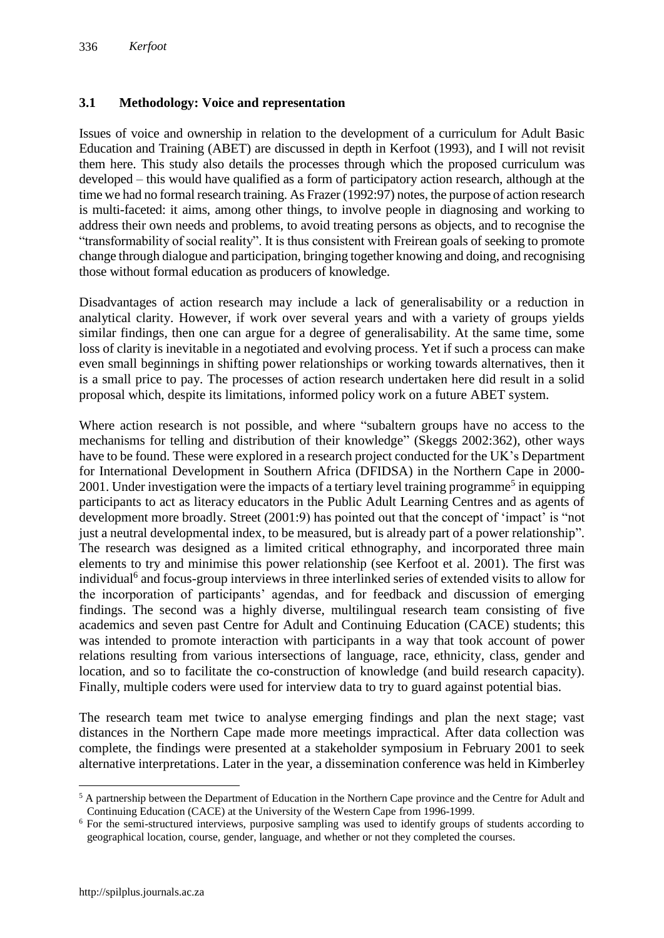# **3.1 Methodology: Voice and representation**

Issues of voice and ownership in relation to the development of a curriculum for Adult Basic Education and Training (ABET) are discussed in depth in Kerfoot (1993), and I will not revisit them here. This study also details the processes through which the proposed curriculum was developed – this would have qualified as a form of participatory action research, although at the time we had no formal research training. As Frazer (1992:97) notes, the purpose of action research is multi-faceted: it aims, among other things, to involve people in diagnosing and working to address their own needs and problems, to avoid treating persons as objects, and to recognise the "transformability of social reality". It is thus consistent with Freirean goals of seeking to promote change through dialogue and participation, bringing together knowing and doing, and recognising those without formal education as producers of knowledge.

Disadvantages of action research may include a lack of generalisability or a reduction in analytical clarity. However, if work over several years and with a variety of groups yields similar findings, then one can argue for a degree of generalisability. At the same time, some loss of clarity is inevitable in a negotiated and evolving process. Yet if such a process can make even small beginnings in shifting power relationships or working towards alternatives, then it is a small price to pay. The processes of action research undertaken here did result in a solid proposal which, despite its limitations, informed policy work on a future ABET system.

Where action research is not possible, and where "subaltern groups have no access to the mechanisms for telling and distribution of their knowledge" (Skeggs 2002:362), other ways have to be found. These were explored in a research project conducted for the UK's Department for International Development in Southern Africa (DFIDSA) in the Northern Cape in 2000- 2001. Under investigation were the impacts of a tertiary level training programme<sup>5</sup> in equipping participants to act as literacy educators in the Public Adult Learning Centres and as agents of development more broadly. Street (2001:9) has pointed out that the concept of 'impact' is "not just a neutral developmental index, to be measured, but is already part of a power relationship". The research was designed as a limited critical ethnography, and incorporated three main elements to try and minimise this power relationship (see Kerfoot et al. 2001). The first was individual<sup>6</sup> and focus-group interviews in three interlinked series of extended visits to allow for the incorporation of participants' agendas, and for feedback and discussion of emerging findings. The second was a highly diverse, multilingual research team consisting of five academics and seven past Centre for Adult and Continuing Education (CACE) students; this was intended to promote interaction with participants in a way that took account of power relations resulting from various intersections of language, race, ethnicity, class, gender and location, and so to facilitate the co-construction of knowledge (and build research capacity). Finally, multiple coders were used for interview data to try to guard against potential bias.

The research team met twice to analyse emerging findings and plan the next stage; vast distances in the Northern Cape made more meetings impractical. After data collection was complete, the findings were presented at a stakeholder symposium in February 2001 to seek alternative interpretations. Later in the year, a dissemination conference was held in Kimberley

 $\overline{a}$ 

<sup>&</sup>lt;sup>5</sup> A partnership between the Department of Education in the Northern Cape province and the Centre for Adult and Continuing Education (CACE) at the University of the Western Cape from 1996-1999.

<sup>6</sup> For the semi-structured interviews, purposive sampling was used to identify groups of students according to geographical location, course, gender, language, and whether or not they completed the courses.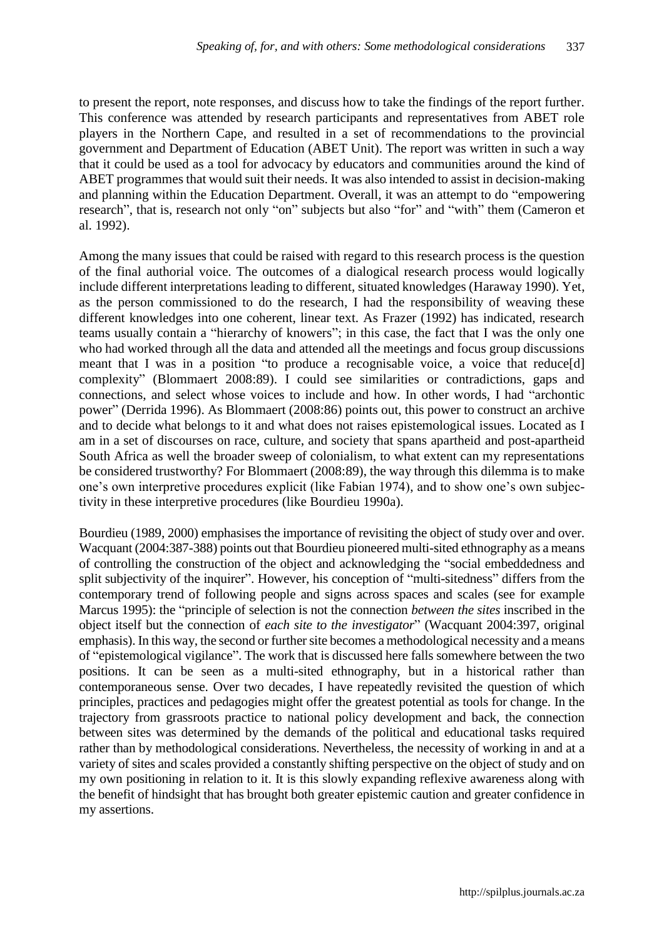to present the report, note responses, and discuss how to take the findings of the report further. This conference was attended by research participants and representatives from ABET role players in the Northern Cape, and resulted in a set of recommendations to the provincial government and Department of Education (ABET Unit). The report was written in such a way that it could be used as a tool for advocacy by educators and communities around the kind of ABET programmes that would suit their needs. It was also intended to assist in decision-making and planning within the Education Department. Overall, it was an attempt to do "empowering research", that is, research not only "on" subjects but also "for" and "with" them (Cameron et al. 1992).

Among the many issues that could be raised with regard to this research process is the question of the final authorial voice. The outcomes of a dialogical research process would logically include different interpretations leading to different, situated knowledges (Haraway 1990). Yet, as the person commissioned to do the research, I had the responsibility of weaving these different knowledges into one coherent, linear text. As Frazer (1992) has indicated, research teams usually contain a "hierarchy of knowers"; in this case, the fact that I was the only one who had worked through all the data and attended all the meetings and focus group discussions meant that I was in a position "to produce a recognisable voice, a voice that reduce[d] complexity" (Blommaert 2008:89). I could see similarities or contradictions, gaps and connections, and select whose voices to include and how. In other words, I had "archontic power" (Derrida 1996). As Blommaert (2008:86) points out, this power to construct an archive and to decide what belongs to it and what does not raises epistemological issues. Located as I am in a set of discourses on race, culture, and society that spans apartheid and post-apartheid South Africa as well the broader sweep of colonialism, to what extent can my representations be considered trustworthy? For Blommaert (2008:89), the way through this dilemma is to make one's own interpretive procedures explicit (like Fabian 1974), and to show one's own subjectivity in these interpretive procedures (like Bourdieu 1990a).

Bourdieu (1989, 2000) emphasises the importance of revisiting the object of study over and over. Wacquant (2004:387-388) points out that Bourdieu pioneered multi-sited ethnography as a means of controlling the construction of the object and acknowledging the "social embeddedness and split subjectivity of the inquirer". However, his conception of "multi-sitedness" differs from the contemporary trend of following people and signs across spaces and scales (see for example Marcus 1995): the "principle of selection is not the connection *between the sites* inscribed in the object itself but the connection of *each site to the investigator*" (Wacquant 2004:397, original emphasis). In this way, the second or further site becomes a methodological necessity and a means of "epistemological vigilance". The work that is discussed here falls somewhere between the two positions. It can be seen as a multi-sited ethnography, but in a historical rather than contemporaneous sense. Over two decades, I have repeatedly revisited the question of which principles, practices and pedagogies might offer the greatest potential as tools for change. In the trajectory from grassroots practice to national policy development and back, the connection between sites was determined by the demands of the political and educational tasks required rather than by methodological considerations. Nevertheless, the necessity of working in and at a variety of sites and scales provided a constantly shifting perspective on the object of study and on my own positioning in relation to it. It is this slowly expanding reflexive awareness along with the benefit of hindsight that has brought both greater epistemic caution and greater confidence in my assertions.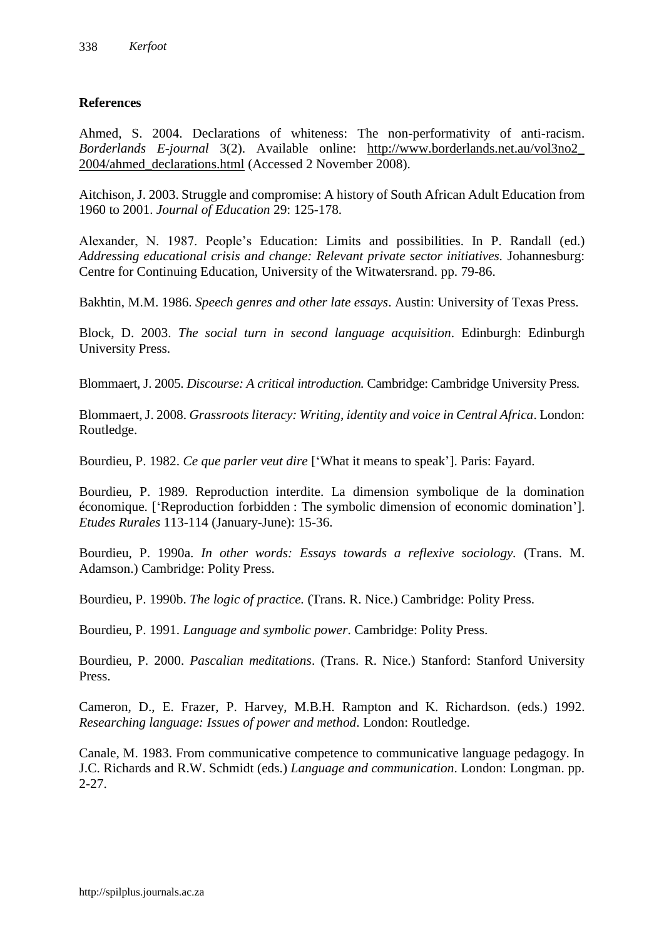## **References**

Ahmed, S. 2004. Declarations of whiteness: The non-performativity of anti-racism. *Borderlands E-journal* 3(2). Available online: [http://www.borderlands.net.au/vol3no2\\_](http://www.borderlands.net.au/vol3no2_%202004/ahmed_declarations.html)  [2004/ahmed\\_declarations.html](http://www.borderlands.net.au/vol3no2_%202004/ahmed_declarations.html) (Accessed 2 November 2008).

Aitchison, J. 2003. Struggle and compromise: A history of South African Adult Education from 1960 to 2001. *Journal of Education* 29: 125-178.

Alexander, N. 1987. People's Education: Limits and possibilities. In P. Randall (ed.) *Addressing educational crisis and change: Relevant private sector initiatives.* Johannesburg: Centre for Continuing Education, University of the Witwatersrand. pp. 79-86.

Bakhtin, M.M. 1986. *Speech genres and other late essays*. Austin: University of Texas Press.

Block, D. 2003. *The social turn in second language acquisition*. Edinburgh: Edinburgh University Press.

Blommaert, J. 2005. *Discourse: A critical introduction.* Cambridge: Cambridge University Press.

Blommaert, J. 2008. *Grassroots literacy: Writing, identity and voice in Central Africa*. London: Routledge.

Bourdieu, P. 1982. *Ce que parler veut dire* ['What it means to speak']. Paris: Fayard.

Bourdieu, P. 1989. Reproduction interdite. La dimension symbolique de la domination économique. ['Reproduction forbidden : The symbolic dimension of economic domination']. *Etudes Rurales* 113-114 (January-June): 15-36.

Bourdieu, P. 1990a. *In other words: Essays towards a reflexive sociology.* (Trans. M. Adamson.) Cambridge: Polity Press.

Bourdieu, P. 1990b. *The logic of practice.* (Trans. R. Nice.) Cambridge: Polity Press.

Bourdieu, P. 1991. *Language and symbolic power*. Cambridge: Polity Press.

Bourdieu, P. 2000. *Pascalian meditations*. (Trans. R. Nice.) Stanford: Stanford University Press.

Cameron, D., E. Frazer, P. Harvey, M.B.H. Rampton and K. Richardson. (eds.) 1992. *Researching language: Issues of power and method*. London: Routledge.

Canale, M. 1983. From communicative competence to communicative language pedagogy. In J.C. Richards and R.W. Schmidt (eds.) *Language and communication*. London: Longman. pp. 2-27.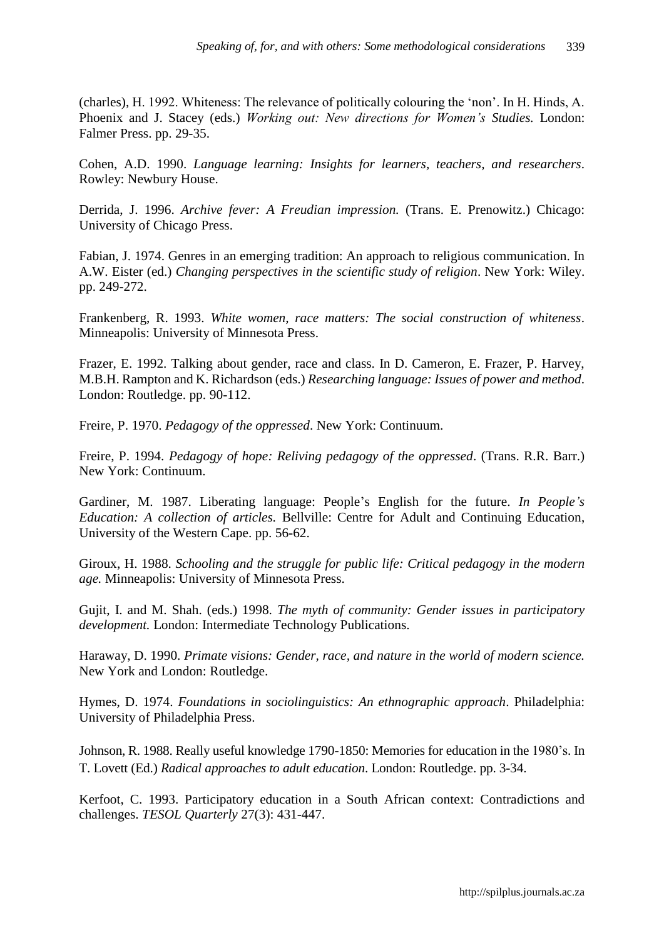(charles), H. 1992. Whiteness: The relevance of politically colouring the 'non'. In H. Hinds, A. Phoenix and J. Stacey (eds.) *Working out: New directions for Women's Studies.* London: Falmer Press. pp. 29-35.

Cohen, A.D. 1990. *Language learning: Insights for learners, teachers, and researchers*. Rowley: Newbury House.

Derrida, J. 1996. *Archive fever: A Freudian impression.* (Trans. E. Prenowitz.) Chicago: University of Chicago Press.

Fabian, J. 1974. Genres in an emerging tradition: An approach to religious communication. In A.W. Eister (ed.) *Changing perspectives in the scientific study of religion*. New York: Wiley. pp. 249-272.

Frankenberg, R. 1993. *White women, race matters: The social construction of whiteness*. Minneapolis: University of Minnesota Press.

Frazer, E. 1992. Talking about gender, race and class. In D. Cameron, E. Frazer, P. Harvey, M.B.H. Rampton and K. Richardson (eds.) *Researching language: Issues of power and method*. London: Routledge. pp. 90-112.

Freire, P. 1970. *Pedagogy of the oppressed*. New York: Continuum.

Freire, P. 1994. *Pedagogy of hope: Reliving pedagogy of the oppressed*. (Trans. R.R. Barr.) New York: Continuum.

Gardiner, M. 1987. Liberating language: People's English for the future. *In People's Education: A collection of articles.* Bellville: Centre for Adult and Continuing Education, University of the Western Cape. pp. 56-62.

Giroux, H. 1988. *Schooling and the struggle for public life: Critical pedagogy in the modern age.* Minneapolis: University of Minnesota Press.

Gujit, I. and M. Shah. (eds.) 1998. *The myth of community: Gender issues in participatory development.* London: Intermediate Technology Publications.

Haraway, D. 1990. *Primate visions: Gender, race, and nature in the world of modern science.* New York and London: Routledge.

Hymes, D. 1974. *Foundations in sociolinguistics: An ethnographic approach*. Philadelphia: University of Philadelphia Press.

Johnson, R. 1988. Really useful knowledge 1790-1850: Memories for education in the 1980's. In T. Lovett (Ed.) *Radical approaches to adult education*. London: Routledge. pp. 3-34.

Kerfoot, C. 1993. Participatory education in a South African context: Contradictions and challenges. *TESOL Quarterly* 27(3): 431-447.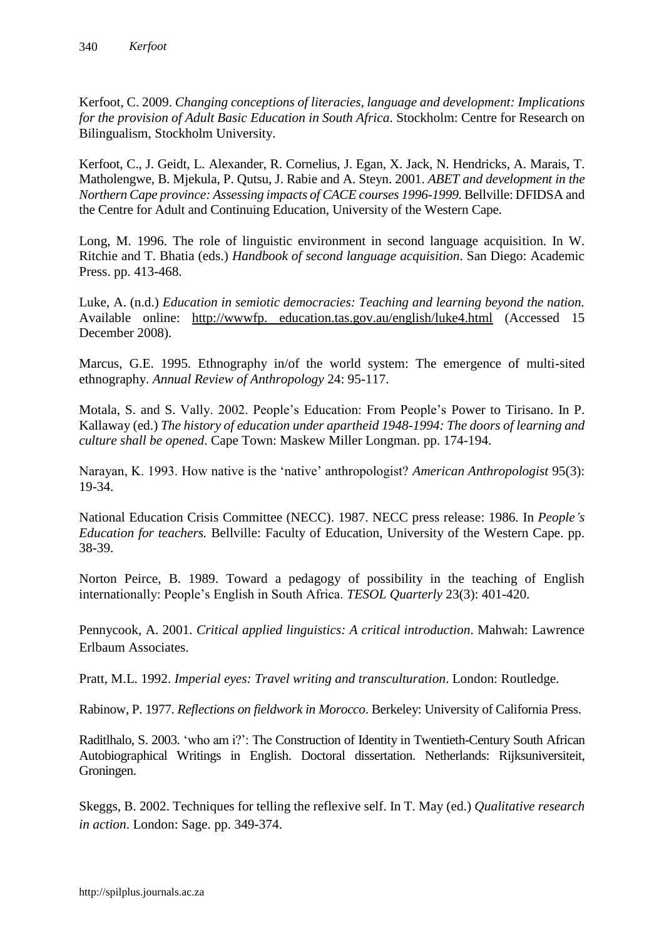Kerfoot, C. 2009. *Changing conceptions of literacies, language and development: Implications for the provision of Adult Basic Education in South Africa*. Stockholm: Centre for Research on Bilingualism, Stockholm University.

Kerfoot, C., J. Geidt, L. Alexander, R. Cornelius, J. Egan, X. Jack, N. Hendricks, A. Marais, T. Matholengwe, B. Mjekula, P. Qutsu, J. Rabie and A. Steyn. 2001. *ABET and development in the Northern Cape province: Assessing impacts of CACE courses 1996-1999.* Bellville: DFIDSA and the Centre for Adult and Continuing Education, University of the Western Cape.

Long, M. 1996. The role of linguistic environment in second language acquisition. In W. Ritchie and T. Bhatia (eds.) *Handbook of second language acquisition*. San Diego: Academic Press. pp. 413-468.

Luke, A. (n.d.) *Education in semiotic democracies: Teaching and learning beyond the nation.* Available online: http://wwwfp. education.tas.gov.au/english/luke4.html (Accessed 15 December 2008).

Marcus, G.E. 1995. Ethnography in/of the world system: The emergence of multi-sited ethnography. *Annual Review of Anthropology* 24: 95-117.

Motala, S. and S. Vally. 2002. People's Education: From People's Power to Tirisano. In P. Kallaway (ed.) *The history of education under apartheid 1948-1994: The doors of learning and culture shall be opened*. Cape Town: Maskew Miller Longman. pp. 174-194.

Narayan, K. 1993. How native is the 'native' anthropologist? *American Anthropologist* 95(3): 19-34.

National Education Crisis Committee (NECC). 1987. NECC press release: 1986*.* In *People's Education for teachers.* Bellville: Faculty of Education, University of the Western Cape. pp. 38-39.

Norton Peirce, B. 1989. Toward a pedagogy of possibility in the teaching of English internationally: People's English in South Africa. *TESOL Quarterly* 23(3): 401-420.

Pennycook, A. 2001. *Critical applied linguistics: A critical introduction*. Mahwah: Lawrence Erlbaum Associates.

Pratt, M.L. 1992. *Imperial eyes: Travel writing and transculturation*. London: Routledge.

Rabinow, P. 1977. *Reflections on fieldwork in Morocco*. Berkeley: University of California Press.

Raditlhalo, S. 2003. 'who am i?': The Construction of Identity in Twentieth-Century South African Autobiographical Writings in English. Doctoral dissertation. Netherlands: Rijksuniversiteit, Groningen.

Skeggs, B. 2002. Techniques for telling the reflexive self. In T. May (ed.) *Qualitative research in action*. London: Sage. pp. 349-374.